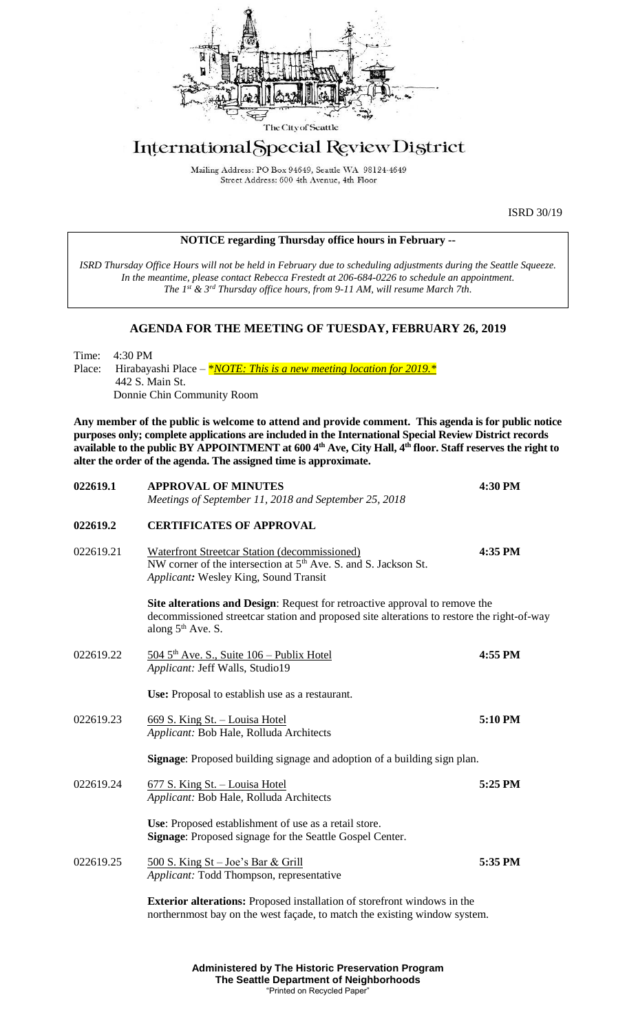

# International Special Review District

Mailing Address: PO Box 94649, Seattle WA 98124-4649 Street Address: 600 4th Avenue, 4th Floor

ISRD 30/19

| <b>NOTICE regarding Thursday office hours in February --</b> |  |  |  |
|--------------------------------------------------------------|--|--|--|
|--------------------------------------------------------------|--|--|--|

*ISRD Thursday Office Hours will not be held in February due to scheduling adjustments during the Seattle Squeeze. In the meantime, please contact Rebecca Frestedt at 206-684-0226 to schedule an appointment. The 1 st & 3rd Thursday office hours, from 9-11 AM, will resume March 7th.* 

## **AGENDA FOR THE MEETING OF TUESDAY, FEBRUARY 26, 2019**

Time: 4:30 PM<br>Place: Hirabaya Hirabayashi Place – \**NOTE: This is a new meeting location for 2019.*\* 442 S. Main St. Donnie Chin Community Room

**Any member of the public is welcome to attend and provide comment. This agenda is for public notice purposes only; complete applications are included in the International Special Review District records available to the public BY APPOINTMENT at 600 4th Ave, City Hall, 4th floor. Staff reserves the right to alter the order of the agenda. The assigned time is approximate.** 

**022619.1 APPROVAL OF MINUTES 4:30 PM**

| ALL NOVAL OF MINUTED<br>Meetings of September 11, 2018 and September 25, 2018                                                                                                | 4.JV I M                                                                                                                                                                                                                                                                                                                                                                                                              |
|------------------------------------------------------------------------------------------------------------------------------------------------------------------------------|-----------------------------------------------------------------------------------------------------------------------------------------------------------------------------------------------------------------------------------------------------------------------------------------------------------------------------------------------------------------------------------------------------------------------|
| <b>CERTIFICATES OF APPROVAL</b>                                                                                                                                              |                                                                                                                                                                                                                                                                                                                                                                                                                       |
| <b>Waterfront Streetcar Station (decommissioned)</b><br>NW corner of the intersection at 5 <sup>th</sup> Ave. S. and S. Jackson St.<br>Applicant: Wesley King, Sound Transit | 4:35 PM                                                                                                                                                                                                                                                                                                                                                                                                               |
| along $5th$ Ave. S.                                                                                                                                                          |                                                                                                                                                                                                                                                                                                                                                                                                                       |
| $5045^{\text{th}}$ Ave. S., Suite $106$ – Publix Hotel<br>Applicant: Jeff Walls, Studio19                                                                                    | 4:55 PM                                                                                                                                                                                                                                                                                                                                                                                                               |
| Use: Proposal to establish use as a restaurant.                                                                                                                              |                                                                                                                                                                                                                                                                                                                                                                                                                       |
| 669 S. King St. - Louisa Hotel<br>Applicant: Bob Hale, Rolluda Architects                                                                                                    | 5:10 PM                                                                                                                                                                                                                                                                                                                                                                                                               |
|                                                                                                                                                                              |                                                                                                                                                                                                                                                                                                                                                                                                                       |
| 677 S. King St. - Louisa Hotel<br>Applicant: Bob Hale, Rolluda Architects                                                                                                    | 5:25 PM                                                                                                                                                                                                                                                                                                                                                                                                               |
| Use: Proposed establishment of use as a retail store.<br>Signage: Proposed signage for the Seattle Gospel Center.                                                            |                                                                                                                                                                                                                                                                                                                                                                                                                       |
| 500 S. King St - Joe's Bar & Grill<br>Applicant: Todd Thompson, representative                                                                                               | 5:35 PM                                                                                                                                                                                                                                                                                                                                                                                                               |
|                                                                                                                                                                              |                                                                                                                                                                                                                                                                                                                                                                                                                       |
|                                                                                                                                                                              | Site alterations and Design: Request for retroactive approval to remove the<br>decommissioned streetcar station and proposed site alterations to restore the right-of-way<br>Signage: Proposed building signage and adoption of a building sign plan.<br><b>Exterior alterations:</b> Proposed installation of storefront windows in the<br>northernmost bay on the west façade, to match the existing window system. |